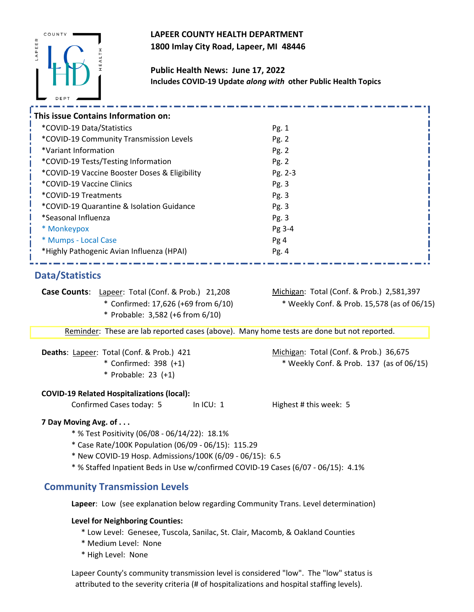## **LAPEER COUNTY HEALTH DEPARTMENT 1800 Imlay City Road, Lapeer, MI 48446**



**Public Health News: June 17, 2022 Includes COVID-19 Update** *along with* **other Public Health Topics** 

| This issue Contains Information on:           |         |  |  |  |
|-----------------------------------------------|---------|--|--|--|
| *COVID-19 Data/Statistics                     | Pg. 1   |  |  |  |
| *COVID-19 Community Transmission Levels       | Pg. 2   |  |  |  |
| *Variant Information                          | Pg. 2   |  |  |  |
| *COVID-19 Tests/Testing Information           | Pg. 2   |  |  |  |
| *COVID-19 Vaccine Booster Doses & Eligibility | Pg. 2-3 |  |  |  |
| *COVID-19 Vaccine Clinics                     | Pg. 3   |  |  |  |
| *COVID-19 Treatments                          | Pg. 3   |  |  |  |
| *COVID-19 Quarantine & Isolation Guidance     | Pg. 3   |  |  |  |
| *Seasonal Influenza                           | Pg. 3   |  |  |  |
| * Monkeypox                                   | Pg 3-4  |  |  |  |
| * Mumps - Local Case                          | Pg 4    |  |  |  |
| *Highly Pathogenic Avian Influenza (HPAI)     | Pg.4    |  |  |  |
|                                               |         |  |  |  |
| Data/Statistics                               |         |  |  |  |

### **Data/Statistics**

**Case Counts**: Lapeer: Total (Conf. & Prob.) 21,208

- Confirmed: 17,626 (+69 from 6/10)
	- \* Probable: 3,582 (+6 from 6/10)

Michigan: Total (Conf. & Prob.) 2,581,397 \* \* Weekly Conf. & Prob. 15,578 (as of 06/15)

Reminder: These are lab reported cases (above). Many home tests are done but not reported.

| Deaths: Lapeer: Total (Conf. & Prob.) 421 |                       |  |
|-------------------------------------------|-----------------------|--|
|                                           | * Confirmed: 398 (+1) |  |

\* Probable: 23 (+1)

#### **COVID-19 Related Hospitalizations (local):**

Confirmed Cases today: 5 In ICU: 1 Highest # this week: 5

 $*$  Weekly Conf. & Prob. 137 (as of 06/15)

Michigan: Total (Conf. & Prob.) 36,675

#### **7 Day Moving Avg. of . . .**

\* % Test Positivity (06/08 - 06/14/22): 18.1%

- \* Case Rate/100K Population (06/09 06/15): 115.29
- \* New COVID-19 Hosp. Admissions/100K (6/09 06/15): 6.5
- \* % Staffed Inpatient Beds in Use w/confirmed COVID-19 Cases (6/07 06/15): 4.1%

### **Community Transmission Levels**

**Lapeer**: Low (see explanation below regarding Community Trans. Level determination)

#### **Level for Neighboring Counties:**

- \* Low Level: Genesee, Tuscola, Sanilac, St. Clair, Macomb, & Oakland Counties
- \* Medium Level: None
- \* High Level: None

Lapeer County's community transmission level is considered "low". The "low" status is attributed to the severity criteria (# of hospitalizations and hospital staffing levels).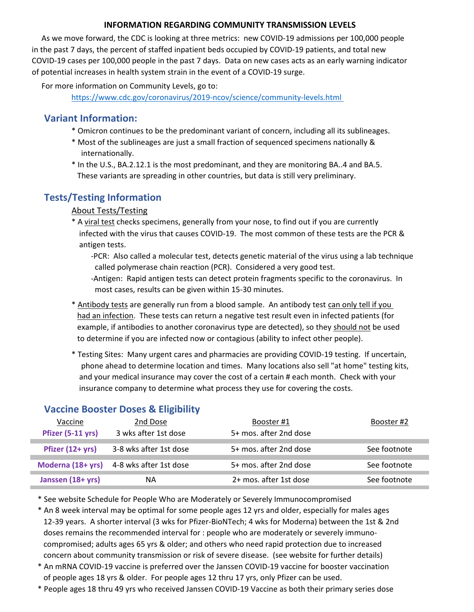#### **INFORMATION REGARDING COMMUNITY TRANSMISSION LEVELS**

 As we move forward, the CDC is looking at three metrics: new COVID-19 admissions per 100,000 people in the past 7 days, the percent of staffed inpatient beds occupied by COVID-19 patients, and total new COVID-19 cases per 100,000 people in the past 7 days. Data on new cases acts as an early warning indicator of potential increases in health system strain in the event of a COVID-19 surge.

For more information on Community Levels, go to:

[https://ww](https://www.cdc.gov/coronavirus/2019-ncov/science/community-levels.html)w.cdc.gov/coronavirus/2019-ncov/science/community-levels.html

## **Variant Information:**

- \* Omicron continues to be the predominant variant of concern, including all its sublineages.
- \* Most of the sublineages are just a small fraction of sequenced specimens nationally & internationally.
- \* In the U.S., BA.2.12.1 is the most predominant, and they are monitoring BA..4 and BA.5. These variants are spreading in other countries, but data is still very preliminary.

# **Tests/Testing Information**

#### About Tests/Testing

\* A viral test checks specimens, generally from your nose, to find out if you are currently infected with the virus that causes COVID-19. The most common of these tests are the PCR & antigen tests.

 -PCR: Also called a molecular test, detects genetic material of the virus using a lab technique called polymerase chain reaction (PCR). Considered a very good test.

 -Antigen: Rapid antigen tests can detect protein fragments specific to the coronavirus. In most cases, results can be given within 15-30 minutes.

\* Antibody tests are generally run from a blood sample. An antibody test can only tell if you had an infection. These tests can return a negative test result even in infected patients (for example, if antibodies to another coronavirus type are detected), so they should not be used to determine if you are infected now or contagious (ability to infect other people).

\* Testing Sites: Many urgent cares and pharmacies are providing COVID-19 testing. If uncertain, phone ahead to determine location and times. Many locations also sell "at home" testing kits, and your medical insurance may cover the cost of a certain # each month. Check with your insurance company to determine what process they use for covering the costs.

## **Vaccine Booster Doses & Eligibility**

| Vaccine           | 2nd Dose                                 | Booster #1             | Booster #2   |
|-------------------|------------------------------------------|------------------------|--------------|
| Pfizer (5-11 yrs) | 3 wks after 1st dose                     | 5+ mos. after 2nd dose |              |
|                   |                                          |                        |              |
| Pfizer (12+ yrs)  | 3-8 wks after 1st dose                   | 5+ mos. after 2nd dose | See footnote |
|                   |                                          |                        |              |
|                   | Moderna (18+ yrs) 4-8 wks after 1st dose | 5+ mos. after 2nd dose | See footnote |
|                   |                                          |                        |              |
| Janssen (18+ yrs) | NА                                       | 2+ mos. after 1st dose | See footnote |

\* See website Schedule for People Who are Moderately or Severely Immunocompromised

 \* An 8 week interval may be optimal for some people ages 12 yrs and older, especially for males ages 12-39 years. A shorter interval (3 wks for Pfizer-BioNTech; 4 wks for Moderna) between the 1st & 2nd doses remains the recommended interval for : people who are moderately or severely immuno compromised; adults ages 65 yrs & older; and others who need rapid protection due to increased concern about community transmission or risk of severe disease. (see website for further details)

 \* An mRNA COVID-19 vaccine is preferred over the Janssen COVID-19 vaccine for booster vaccination of people ages 18 yrs & older. For people ages 12 thru 17 yrs, only Pfizer can be used.

\* People ages 18 thru 49 yrs who received Janssen COVID-19 Vaccine as both their primary series dose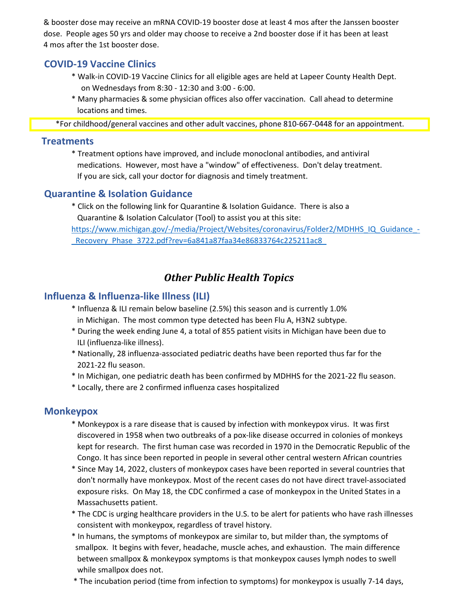& booster dose may receive an mRNA COVID-19 booster dose at least 4 mos after the Janssen booster dose. People ages 50 yrs and older may choose to receive a 2nd booster dose if it has been at least 4 mos after the 1st booster dose.

### **COVID-19 Vaccine Clinics**

- \* Walk-in COVID-19 Vaccine Clinics for all eligible ages are held at Lapeer County Health Dept. on Wednesdays from 8:30 - 12:30 and 3:00 - 6:00.
- \* Many pharmacies & some physician offices also offer vaccination. Call ahead to determine locations and times.

\*For childhood/general vaccines and other adult vaccines, phone 810-667-0448 for an appointment.

#### **Treatments**

\* Treatment options have improved, and include monoclonal antibodies, and antiviral medications. However, most have a "window" of effectiveness. Don't delay treatment. If you are sick, call your doctor for diagnosis and timely treatment.

### **Quarantine & Isolation Guidance**

\* Click on the following link for Quarantine & Isolation Guidance. There is also a Quarantine & Isolation Calculator (Tool) to assist you at this site:

[https://ww](https://www.michigan.gov/-/media/Project/Websites/coronavirus/Folder2/MDHHS_IQ_Guidance_-_Recovery_Phase_3722.pdf?rev=6a841a87faa34e86833764c225211ac8)w.michigan.gov/-/media/Project/Websites/coronavirus/Folder2/MDHHS\_IQ\_Guidance\_- Recovery Phase 3722.pdf?rev=6a841a87faa34e86833764c225211ac8

# *Other Public Health Topics*

### **Influenza & Influenza-like Illness (ILI)**

- \* Influenza & ILI remain below baseline (2.5%) this season and is currently 1.0% in Michigan. The most common type detected has been Flu A, H3N2 subtype.
- \* During the week ending June 4, a total of 855 patient visits in Michigan have been due to ILI (influenza-like illness).
- \* Nationally, 28 influenza-associated pediatric deaths have been reported thus far for the 2021-22 flu season.
- \* In Michigan, one pediatric death has been confirmed by MDHHS for the 2021-22 flu season.
- \* Locally, there are 2 confirmed influenza cases hospitalized

### **Monkeypox**

- \* Monkeypox is a rare disease that is caused by infection with monkeypox virus. It was first discovered in 1958 when two outbreaks of a pox-like disease occurred in colonies of monkeys kept for research. The first human case was recorded in 1970 in the Democratic Republic of the Congo. It has since been reported in people in several other central western African countries
- \* Since May 14, 2022, clusters of monkeypox cases have been reported in several countries that don't normally have monkeypox. Most of the recent cases do not have direct travel-associated exposure risks. On May 18, the CDC confirmed a case of monkeypox in the United States in a Massachusetts patient.
- \* The CDC is urging healthcare providers in the U.S. to be alert for patients who have rash illnesses consistent with monkeypox, regardless of travel history.
- \* In humans, the symptoms of monkeypox are similar to, but milder than, the symptoms of smallpox. It begins with fever, headache, muscle aches, and exhaustion. The main difference between smallpox & monkeypox symptoms is that monkeypox causes lymph nodes to swell while smallpox does not.
- \* The incubation period (time from infection to symptoms) for monkeypox is usually 7-14 days,